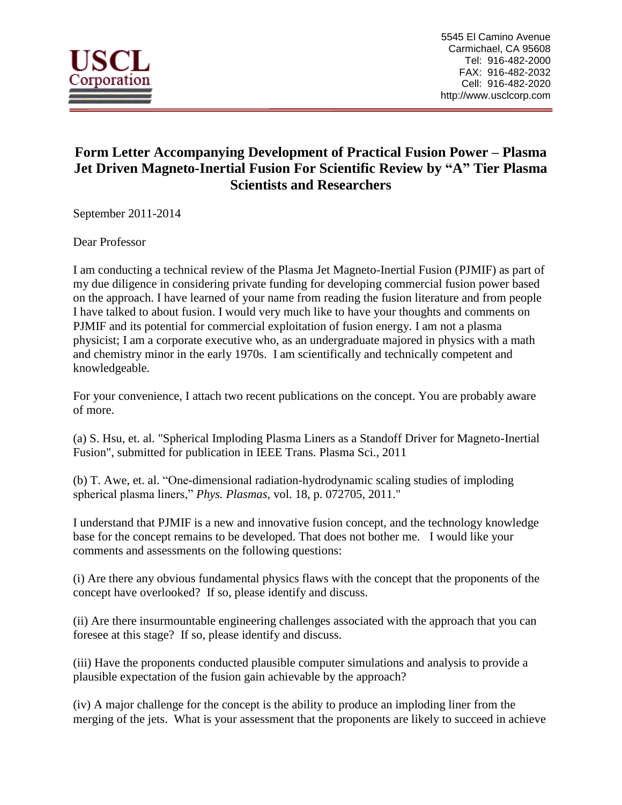

## **Form Letter Accompanying Development of Practical Fusion Power – Plasma Jet Driven Magneto-Inertial Fusion For Scientific Review by "A" Tier Plasma Scientists and Researchers**

September 2011-2014

Dear Professor

I am conducting a technical review of the Plasma Jet Magneto-Inertial Fusion (PJMIF) as part of my due diligence in considering private funding for developing commercial fusion power based on the approach. I have learned of your name from reading the fusion literature and from people I have talked to about fusion. I would very much like to have your thoughts and comments on PJMIF and its potential for commercial exploitation of fusion energy. I am not a plasma physicist; I am a corporate executive who, as an undergraduate majored in physics with a math and chemistry minor in the early 1970s. I am scientifically and technically competent and knowledgeable.

For your convenience, I attach two recent publications on the concept. You are probably aware of more.

(a) S. Hsu, et. al. "Spherical Imploding Plasma Liners as a Standoff Driver for Magneto-Inertial Fusion", submitted for publication in IEEE Trans. Plasma Sci., 2011

(b) T. Awe, et. al. "One-dimensional radiation-hydrodynamic scaling studies of imploding spherical plasma liners," *Phys. Plasmas*, vol. 18, p. 072705, 2011."

I understand that PJMIF is a new and innovative fusion concept, and the technology knowledge base for the concept remains to be developed. That does not bother me. I would like your comments and assessments on the following questions:

(i) Are there any obvious fundamental physics flaws with the concept that the proponents of the concept have overlooked? If so, please identify and discuss.

(ii) Are there insurmountable engineering challenges associated with the approach that you can foresee at this stage? If so, please identify and discuss.

(iii) Have the proponents conducted plausible computer simulations and analysis to provide a plausible expectation of the fusion gain achievable by the approach?

(iv) A major challenge for the concept is the ability to produce an imploding liner from the merging of the jets. What is your assessment that the proponents are likely to succeed in achieve